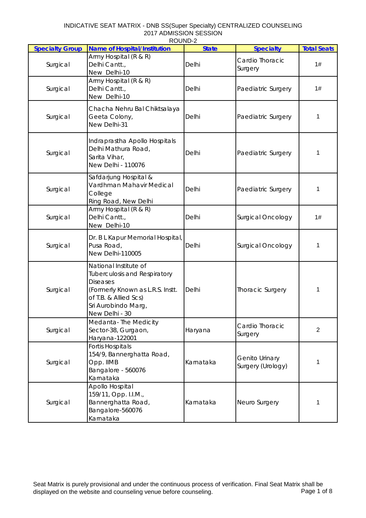## INDICATIVE SEAT MATRIX - DNB SS(Super Specialty) CENTRALIZED COUNSELING 2017 ADMISSION SESSION ROUND-2

| <b>Specialty Group</b> | <b>Name of Hospital/Institution</b>                                                                                                                                                   | <u>ג-שטושטו</u><br><b>State</b> | <b>Specialty</b>                           | <b>Total Seats</b> |
|------------------------|---------------------------------------------------------------------------------------------------------------------------------------------------------------------------------------|---------------------------------|--------------------------------------------|--------------------|
| Surgical               | Army Hospital (R & R)<br>Delhi Cantt.,<br>New Delhi-10                                                                                                                                | Delhi                           | Cardio Thoracic<br>Surgery                 | 1#                 |
| Surgical               | Army Hospital (R & R)<br>Delhi Cantt.,<br>New Delhi-10                                                                                                                                | Delhi                           | Paediatric Surgery                         | 1#                 |
| Surgical               | Chacha Nehru Bal Chiktsalaya<br>Geeta Colony,<br>New Delhi-31                                                                                                                         | Delhi                           | Paediatric Surgery                         | 1                  |
| Surgical               | Indraprastha Apollo Hospitals<br>Delhi Mathura Road,<br>Sarita Vihar,<br>New Delhi - 110076                                                                                           | Delhi                           | Paediatric Surgery                         | 1                  |
| Surgical               | Safdarjung Hospital &<br>Vardhman Mahavir Medical<br>College<br>Ring Road, New Delhi                                                                                                  | Delhi                           | Paediatric Surgery                         | 1                  |
| Surgical               | Army Hospital (R & R)<br>Delhi Cantt.,<br>New Delhi-10                                                                                                                                | Delhi                           | <b>Surgical Oncology</b>                   | 1#                 |
| Surgical               | Dr. B L Kapur Memorial Hospital,<br>Pusa Road,<br>New Delhi-110005                                                                                                                    | Delhi                           | <b>Surgical Oncology</b>                   | 1                  |
| Surgical               | National Institute of<br><b>Tuberculosis and Respiratory</b><br><b>Diseases</b><br>(Formerly Known as L.R.S. Instt.<br>of T.B. & Allied Scs)<br>Sri Aurobindo Marg,<br>New Delhi - 30 | Delhi                           | Thoracic Surgery                           | 1                  |
| Surgical               | Medanta-The Medicity<br>Sector-38, Gurgaon,<br>Haryana-122001                                                                                                                         | Haryana                         | Cardio Thoracic<br>Surgery                 | $\overline{2}$     |
| Surgical               | <b>Fortis Hospitals</b><br>154/9, Bannerghatta Road,<br>Opp. IIMB<br>Bangalore - 560076<br>Karnataka                                                                                  | Karnataka                       | <b>Genito Urinary</b><br>Surgery (Urology) | 1                  |
| Surgical               | Apollo Hospital<br>159/11, Opp. I.I.M.,<br>Bannerghatta Road,<br>Bangalore-560076<br>Karnataka                                                                                        | Karnataka                       | Neuro Surgery                              | 1                  |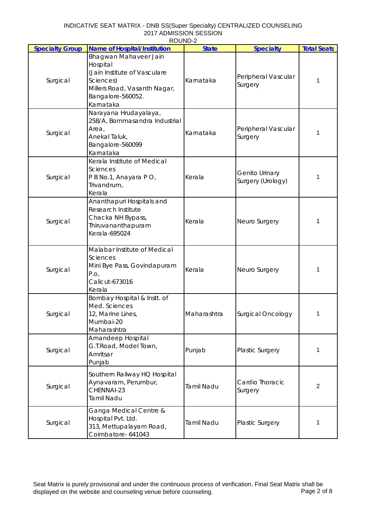| ROUND-2                |                                                                                                                                                  |                   |                                            |                    |  |
|------------------------|--------------------------------------------------------------------------------------------------------------------------------------------------|-------------------|--------------------------------------------|--------------------|--|
| <b>Specialty Group</b> | <b>Name of Hospital/Institution</b>                                                                                                              | <b>State</b>      | <b>Specialty</b>                           | <b>Total Seats</b> |  |
| Surgical               | Bhagwan Mahaveer Jain<br>Hospital<br>(Jain Institute of Vasculare<br>Sciences)<br>Millers Road, Vasanth Nagar,<br>Bangalore-560052.<br>Karnataka | Karnataka         | Peripheral Vascular<br>Surgery             | 1                  |  |
| Surgical               | Narayana Hrudayalaya,<br>258/A, Bommasandra Industrial<br>Area,<br>Anekal Taluk,<br>Bangalore-560099<br>Karnataka                                | Karnataka         | Peripheral Vascular<br>Surgery             | 1                  |  |
| Surgical               | Kerala Institute of Medical<br>Sciences<br>P B No.1, Anayara P O,<br>Trivandrum,<br>Kerala                                                       | Kerala            | <b>Genito Urinary</b><br>Surgery (Urology) | 1                  |  |
| Surgical               | Ananthapuri Hospitals and<br><b>Research Institute</b><br>Chacka NH Bypass,<br>Thiruvananthapuram<br>Kerala-695024                               | Kerala            | Neuro Surgery                              | 1                  |  |
| Surgical               | Malabar Institute of Medical<br><b>Sciences</b><br>Mini Bye Pass, Govindapuram<br>P.O,<br>Calicut-673016<br>Kerala                               | Kerala            | Neuro Surgery                              | 1                  |  |
| Surgical               | Bombay Hospital & Instt. of<br>Med. Sciences<br>12, Marine Lines,<br>Mumbai-20<br>Maharashtra                                                    | Maharashtra       | Surgical Oncology                          | 1.                 |  |
| Surgical               | Amandeep Hospital<br>G.T.Road, Model Town,<br>Amritsar<br>Punjab                                                                                 | Punjab            | Plastic Surgery                            | 1                  |  |
| Surgical               | Southern Railway HQ Hospital<br>Aynavaram, Perumbur,<br>CHENNAI-23<br><b>Tamil Nadu</b>                                                          | <b>Tamil Nadu</b> | Cardio Thoracic<br>Surgery                 | $\overline{c}$     |  |
| Surgical               | Ganga Medical Centre &<br>Hospital Pvt. Ltd.<br>313, Mettupalayam Road,<br>Coimbatore- 641043                                                    | <b>Tamil Nadu</b> | Plastic Surgery                            | 1                  |  |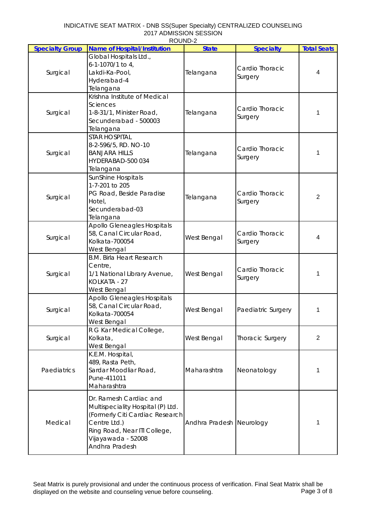|                        | <b>ב-שווטטו</b>                     |                          |                         |                    |
|------------------------|-------------------------------------|--------------------------|-------------------------|--------------------|
| <b>Specialty Group</b> | <b>Name of Hospital/Institution</b> | <b>State</b>             | <b>Specialty</b>        | <b>Total Seats</b> |
|                        | Global Hospitals Ltd.,              |                          |                         |                    |
| Surgical               | 6-1-1070/1 to 4,                    |                          |                         |                    |
|                        | Lakdi-Ka-Pool,                      | Telangana                | Cardio Thoracic         | 4                  |
|                        | Hyderabad-4                         |                          | Surgery                 |                    |
|                        | Telangana                           |                          |                         |                    |
|                        |                                     |                          |                         |                    |
|                        | Krishna Institute of Medical        |                          |                         |                    |
|                        | Sciences                            |                          | Cardio Thoracic         |                    |
| Surgical               | 1-8-31/1, Minister Road,            | Telangana                | Surgery                 |                    |
|                        | Secunderabad - 500003               |                          |                         |                    |
|                        | Telangana                           |                          |                         |                    |
|                        | <b>STAR HOSPITAL</b>                |                          |                         |                    |
|                        | 8-2-596/5, RD. NO-10                |                          |                         |                    |
| Surgical               | <b>BANJARA HILLS</b>                | Telangana                | Cardio Thoracic         | 1                  |
|                        | HYDERABAD-500 034                   |                          | Surgery                 |                    |
|                        |                                     |                          |                         |                    |
|                        | Telangana                           |                          |                         |                    |
|                        | SunShine Hospitals                  |                          |                         |                    |
|                        | 1-7-201 to 205                      |                          |                         |                    |
|                        | PG Road, Beside Paradise            |                          | Cardio Thoracic         | $\overline{2}$     |
| Surgical               | Hotel,                              | Telangana                | Surgery                 |                    |
|                        | Secunderabad-03                     |                          |                         |                    |
|                        | Telangana                           |                          |                         |                    |
|                        | <b>Apollo Gleneagles Hospitals</b>  | West Bengal              | Cardio Thoracic         |                    |
|                        | 58, Canal Circular Road,            |                          |                         |                    |
| Surgical               |                                     |                          |                         | 4                  |
|                        | Kolkata-700054                      |                          | Surgery                 |                    |
|                        | West Bengal                         |                          |                         |                    |
|                        | <b>B.M. Birla Heart Research</b>    |                          | Cardio Thoracic         | 1                  |
|                        | Centre,                             |                          |                         |                    |
| Surgical               | 1/1 National Library Avenue,        | West Bengal              |                         |                    |
|                        | KOLKATA - 27                        |                          | Surgery                 |                    |
|                        | West Bengal                         |                          |                         |                    |
|                        | <b>Apollo Gleneagles Hospitals</b>  |                          |                         |                    |
|                        | 58, Canal Circular Road,            |                          | Paediatric Surgery      |                    |
| Surgical               | Kolkata-700054                      | West Bengal              |                         | 1                  |
|                        |                                     |                          |                         |                    |
|                        | West Bengal                         |                          |                         |                    |
|                        | R G Kar Medical College,            |                          |                         |                    |
| Surgical               | Kolkata,                            | West Bengal              | <b>Thoracic Surgery</b> | 2                  |
|                        | West Bengal                         |                          |                         |                    |
|                        | K.E.M. Hospital,                    |                          |                         |                    |
|                        | 489, Rasta Peth,                    |                          |                         |                    |
| Paediatrics            | Sardar Moodliar Road,               | Maharashtra              | Neonatology             | 1                  |
|                        | Pune-411011                         |                          |                         |                    |
|                        | Maharashtra                         |                          |                         |                    |
|                        |                                     |                          |                         |                    |
|                        | Dr. Ramesh Cardiac and              |                          |                         |                    |
| Medical                | Multispeciality Hospital (P) Ltd.   |                          |                         |                    |
|                        | (Formerly Citi Cardiac Research     |                          |                         |                    |
|                        | Centre Ltd.)                        | Andhra Pradesh Neurology |                         | 1                  |
|                        | Ring Road, Near ITI College,        |                          |                         |                    |
|                        | Vijayawada - 52008                  |                          |                         |                    |
|                        | Andhra Pradesh                      |                          |                         |                    |
|                        |                                     |                          |                         |                    |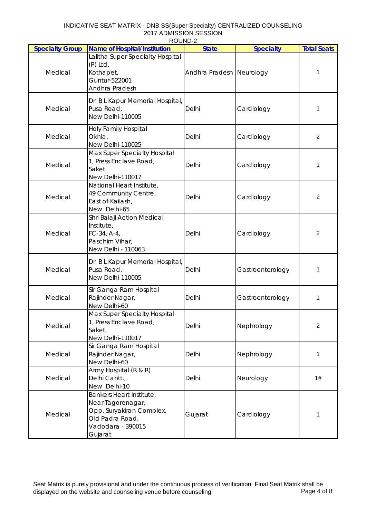| INDICATIVE SEAT MATRIX - DNB SS(Super Specialty) CENTRALIZED COUNSELING |
|-------------------------------------------------------------------------|
| 2017 ADMISSION SESSION                                                  |
| ROUND-2                                                                 |

|                        | <b>ג שוועטו</b>                                                                                                              |                          |                  |                    |
|------------------------|------------------------------------------------------------------------------------------------------------------------------|--------------------------|------------------|--------------------|
| <b>Specialty Group</b> | <b>Name of Hospital/Institution</b>                                                                                          | <b>State</b>             | <b>Specialty</b> | <b>Total Seats</b> |
| Medical                | Lalitha Super Specialty Hospital<br>$(P)$ Ltd.<br>Kothapet,<br>Guntur-522001<br>Andhra Pradesh                               | Andhra Pradesh Neurology |                  | 1                  |
| Medical                | Dr. B L Kapur Memorial Hospital,<br>Pusa Road,<br>New Delhi-110005                                                           | Delhi                    | Cardiology       | 1                  |
| Medical                | <b>Holy Family Hospital</b><br>Okhla,<br>New Delhi-110025                                                                    | Delhi                    | Cardiology       | $\overline{2}$     |
| Medical                | Max Super Specialty Hospital<br>1, Press Enclave Road,<br>Saket,<br>New Delhi-110017                                         | Delhi                    | Cardiology       | 1                  |
| Medical                | National Heart Institute,<br>49 Community Centre,<br>East of Kailash,<br>New Delhi-65                                        | Delhi                    | Cardiology       | $\overline{2}$     |
| Medical                | Shri Balaji Action Medical<br>Institute,<br>FC-34, A-4,<br>Paschim Vihar,<br>New Delhi - 110063                              | Delhi                    | Cardiology       | $\overline{2}$     |
| Medical                | Dr. B L Kapur Memorial Hospital,<br>Pusa Road,<br>New Delhi-110005                                                           | Delhi                    | Gastroenterology | 1                  |
| Medical                | Sir Ganga Ram Hospital<br>Rajinder Nagar,<br>New Delhi-60                                                                    | Delhi                    | Gastroenterology | 1                  |
| Medical                | Max Super Specialty Hospital<br>1, Press Enclave Road,<br>Saket,<br>New Delhi-110017                                         | Delhi                    | Nephrology       | $\overline{2}$     |
| Medical                | Sir Ganga Ram Hospital<br>Rajinder Nagar,<br>New Delhi-60                                                                    | Delhi                    | Nephrology       | 1                  |
| Medical                | Army Hospital (R & R)<br>Delhi Cantt.,<br>New Delhi-10                                                                       | Delhi                    | Neurology        | 1#                 |
| Medical                | Bankers Heart Institute,<br>Near Tagorenagar,<br>Opp. Suryakiran Complex,<br>Old Padra Road,<br>Vadodara - 390015<br>Gujarat | Gujarat                  | Cardiology       | 1                  |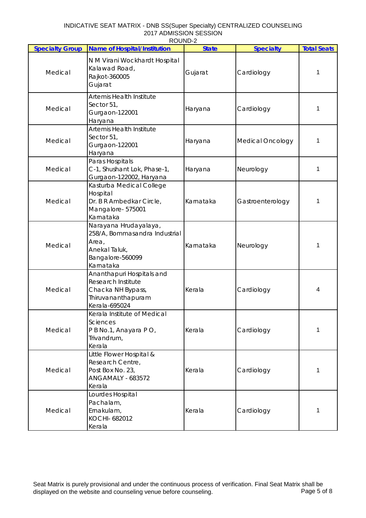| INDICATIVE SEAT MATRIX - DNB SS(Super Specialty) CENTRALIZED COUNSELING |
|-------------------------------------------------------------------------|
| 2017 ADMISSION SESSION                                                  |
| ROUND-2                                                                 |

| <b>Specialty Group</b> | <b>Name of Hospital/Institution</b>                                                                               | <u>ג שווטטו</u><br><b>State</b> | <b>Specialty</b>        | <b>Total Seats</b> |
|------------------------|-------------------------------------------------------------------------------------------------------------------|---------------------------------|-------------------------|--------------------|
| Medical                | N M Virani Wockhardt Hospital<br>Kalawad Road,<br>Rajkot-360005<br>Gujarat                                        | Gujarat                         | Cardiology              | 1                  |
| Medical                | Artemis Health Institute<br>Sector 51,<br>Gurgaon-122001<br>Haryana                                               | Haryana                         | Cardiology              | 1                  |
| Medical                | <b>Artemis Health Institute</b><br>Sector 51,<br>Gurgaon-122001<br>Haryana                                        | Haryana                         | <b>Medical Oncology</b> | 1                  |
| Medical                | Paras Hospitals<br>C-1, Shushant Lok, Phase-1,<br>Gurgaon-122002, Haryana                                         | Haryana                         | Neurology               | 1                  |
| Medical                | Kasturba Medical College<br>Hospital<br>Dr. B R Ambedkar Circle,<br>Mangalore-575001<br>Karnataka                 | Karnataka                       | Gastroenterology        | 1                  |
| Medical                | Narayana Hrudayalaya,<br>258/A, Bommasandra Industrial<br>Area,<br>Anekal Taluk,<br>Bangalore-560099<br>Karnataka | Karnataka                       | Neurology               | 1                  |
| Medical                | Ananthapuri Hospitals and<br>Research Institute<br>Chacka NH Bypass,<br>Thiruvananthapuram<br>Kerala-695024       | Kerala                          | Cardiology              | 4                  |
| Medical                | Kerala Institute of Medical<br>Sciences<br>P B No.1, Anayara P O,<br>Trivandrum,<br>Kerala                        | Kerala                          | Cardiology              | 1                  |
| Medical                | Little Flower Hospital &<br>Research Centre,<br>Post Box No. 23,<br><b>ANGAMALY - 683572</b><br>Kerala            | Kerala                          | Cardiology              | 1                  |
| Medical                | Lourdes Hospital<br>Pachalam,<br>Ernakulam,<br>KOCHI- 682012<br>Kerala                                            | Kerala                          | Cardiology              | 1                  |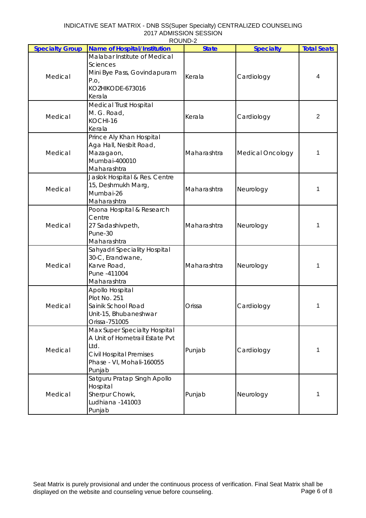| <b>Specialty Group</b> | 1100110-2<br><b>Name of Hospital/Institution</b>                                                                                                | <b>State</b> | <b>Specialty</b>        | <b>Total Seats</b> |
|------------------------|-------------------------------------------------------------------------------------------------------------------------------------------------|--------------|-------------------------|--------------------|
|                        | Malabar Institute of Medical                                                                                                                    |              |                         |                    |
| Medical                | <b>Sciences</b><br>Mini Bye Pass, Govindapuram<br>P.O,<br>KOZHIKODE-673016<br>Kerala                                                            | Kerala       | Cardiology              | 4                  |
| Medical                | <b>Medical Trust Hospital</b><br>M. G. Road,<br>KOCHI-16<br>Kerala                                                                              | Kerala       | Cardiology              | 2                  |
| Medical                | Prince Aly Khan Hospital<br>Aga Hall, Nesbit Road,<br>Mazagaon,<br>Mumbai-400010<br>Maharashtra                                                 | Maharashtra  | <b>Medical Oncology</b> | 1                  |
| Medical                | Jaslok Hospital & Res. Centre<br>15, Deshmukh Marg,<br>Mumbai-26<br>Maharashtra                                                                 | Maharashtra  | Neurology               | 1                  |
| Medical                | Poona Hospital & Research<br>Centre<br>27 Sadashivpeth,<br>Pune-30<br>Maharashtra                                                               | Maharashtra  | Neurology               | 1                  |
| Medical                | Sahyadri Speciality Hospital<br>30-C, Erandwane,<br>Karve Road,<br>Pune - 411004<br>Maharashtra                                                 | Maharashtra  | Neurology               | 1                  |
| Medical                | Apollo Hospital<br>Plot No. 251<br>Sainik School Road<br>Unit-15, Bhubaneshwar<br>Orissa-751005                                                 | Orissa       | Cardiology              | 1                  |
| Medical                | Max Super Specialty Hospital<br>A Unit of Hometrail Estate Pvt<br>Ltd.<br><b>Civil Hospital Premises</b><br>Phase - VI, Mohali-160055<br>Punjab | Punjab       | Cardiology              | 1                  |
| Medical                | Satguru Pratap Singh Apollo<br>Hospital<br>Sherpur Chowk,<br>Ludhiana -141003<br>Punjab                                                         | Punjab       | Neurology               | 1                  |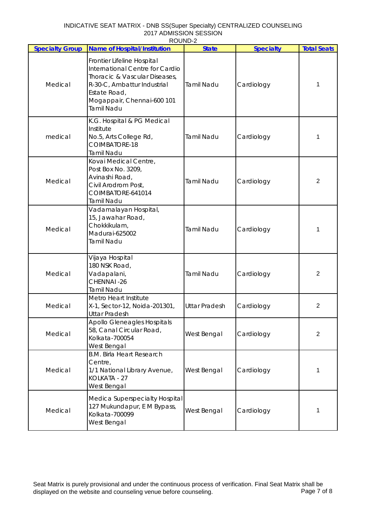| INDICATIVE SEAT MATRIX - DNB SS(Super Specialty) CENTRALIZED COUNSELING |
|-------------------------------------------------------------------------|
| 2017 ADMISSION SESSION                                                  |
| ROUND-2                                                                 |

| <b>Specialty Group</b> | <b>NUUIVU-Z</b><br><b>Name of Hospital/Institution</b>                                                                                                                                    | <b>State</b>         | <b>Specialty</b> | <b>Total Seats</b> |
|------------------------|-------------------------------------------------------------------------------------------------------------------------------------------------------------------------------------------|----------------------|------------------|--------------------|
| Medical                | Frontier Lifeline Hospital<br>International Centre for Cardio<br>Thoracic & Vascular Diseases,<br>R-30-C, Ambattur Industrial<br>Estate Road,<br>Mogappair, Chennai-600 101<br>Tamil Nadu | <b>Tamil Nadu</b>    | Cardiology       | 1                  |
| medical                | K.G. Hospital & PG Medical<br>Institute<br>No.5, Arts College Rd,<br>COIMBATORE-18<br>Tamil Nadu                                                                                          | <b>Tamil Nadu</b>    | Cardiology       | 1                  |
| Medical                | Kovai Medical Centre,<br>Post Box No. 3209,<br>Avinashi Road,<br>Civil Arodrom Post,<br>COIMBATORE-641014<br>Tamil Nadu                                                                   | <b>Tamil Nadu</b>    | Cardiology       | $\overline{2}$     |
| Medical                | Vadamalayan Hospital,<br>15, Jawahar Road,<br>Chokkikulam,<br>Madurai-625002<br>Tamil Nadu                                                                                                | <b>Tamil Nadu</b>    | Cardiology       | 1                  |
| Medical                | Vijaya Hospital<br>180 NSK Road,<br>Vadapalani,<br>CHENNAI-26<br>Tamil Nadu                                                                                                               | <b>Tamil Nadu</b>    | Cardiology       | $\overline{2}$     |
| Medical                | Metro Heart Institute<br>X-1, Sector-12, Noida-201301,<br><b>Uttar Pradesh</b>                                                                                                            | <b>Uttar Pradesh</b> | Cardiology       | $\mathbf{2}$       |
| Medical                | Apollo Gleneagles Hospitals<br>58, Canal Circular Road,<br>Kolkata-700054<br>West Bengal                                                                                                  | West Bengal          | Cardiology       | 2                  |
| Medical                | <b>B.M. Birla Heart Research</b><br>Centre,<br>1/1 National Library Avenue,<br>KOLKATA - 27<br>West Bengal                                                                                | West Bengal          | Cardiology       | 1                  |
| Medical                | Medica Superspecialty Hospital<br>127 Mukundapur, E M Bypass,<br>Kolkata-700099<br>West Bengal                                                                                            | West Bengal          | Cardiology       |                    |